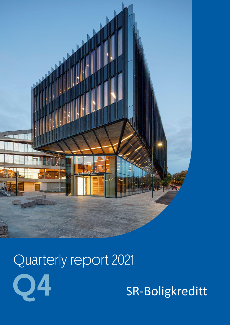



SR-Boligkreditt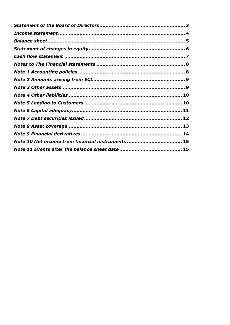| Note 10 Net income from financial instruments  15 |  |
|---------------------------------------------------|--|
|                                                   |  |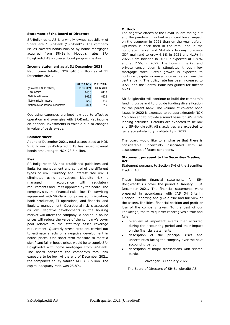### <span id="page-2-0"></span>**Statement of the Board of Directors**

SR-Boligkreditt AS is a wholly owned subsidiary of SpareBank 1 SR-Bank ("SR-Bank"). The company issues covered bonds backed by home mortgages acquired from SR-Bank. Moody's rates SR-Boligkreditt AS's covered bond programme Aaa.

#### **Income statement as at 31 December 2021**

Net income totalled NOK 840.6 million as at 31 December 2021.

|                                     |            | $01.01.2021 - 01.01.2020 -$ |
|-------------------------------------|------------|-----------------------------|
| (Amounts in NOK millions)           | 31.12.2021 | 31.12.2020                  |
| Total income                        | 840.6      | 841.6                       |
| Net interest income                 | 963.9      | 830.9                       |
| Net commission income               | $-56.2$    | $-51.0$                     |
| Net income on financial investments | $-67.1$    | 617                         |

Operating expenses are kept low due to effective operation and synergies with SR-Bank. Net income on financial investments is volatile due to changes in value of basis swaps.

#### **Balance sheet**

At end of December 2021, total assets stood at NOK 95.0 billion. SR-Boligkreditt AS has issued covered bonds amounting to NOK 78.5 billion.

### **Risk**

SR-Boligkreditt AS has established guidelines and limits for management and control of the different types of risk. Currency and interest rate risk is eliminated using derivatives. Liquidity risk is managed in accordance with regulatory requirements and limits approved by the board. The company's overall financial risk is low. The servicing agreement with SR-Bank comprises administration, bank production, IT operations, and financial and liquidity management. Operational risk is assessed as low. Negative developments in the housing market will affect the company. A decline in house prices will reduce the value of the company's cover pool relative to the statutory asset coverage requirement. Quarterly stress tests are carried out to estimate effects of a negative development in house prices. One short-term measure to meet a significant fall in house prices would be to supply SR-Boligkreditt with home mortgages from SR-Bank. The board considers the company's total risk exposure to be low. At the end of December 2021, the company's equity totalled NOK 6.7 billion. The capital adequacy ratio was 25.8%.

### **Outlook**

The negative effects of the Covid-19 are fading out and the pandemic has had significant lower impact on the economy in 2021 than on the year before. Optimism is back both in the retail and in the corporate market and Statistics Norway forecasts GDP mainland to grow 4.1% in 2021 and 4.1% in 2022. Core inflation in 2021 is expected at 1.8 % and at 2.5% in 2022. The housing market and private consumption is stimulated through low mortgage rates. Credit growth is expected to continue despite increased interest rates from the central bank. The policy rate has been increased to 0.5% and the Central Bank has guided for further hikes.

SR-Boligkreditt will continue to build the company's funding curve and to provide funding diversification for the parent bank. The volume of covered bond issues in 2022 is expected to be approximately NOK 15 billion and to provide a sound basis for SR-Bank's lending activities. Defaults are expected to be low and SR-Boligkreditt AS's activities are expected to generate satisfactory profitability in 2022.

The board would like to emphasise that there is considerable uncertainty associated with all assessments of future conditions.

### **Statement pursuant to the Securities Trading Act**

Statement pursuant to Section 5-6 of the Securities Trading Act.

These interim financial statements for SR-Boligkreditt AS cover the period 1 January – 31 December 2021. The financial statements were prepared in accordance with IAS 34 Interim Financial Reporting and give a true and fair view of the assets, liabilities, financial position and profit or loss of the company taken. To the best of our knowledge, the third quarter report gives a true and fair:

- overview of important events that occurred during the accounting period and their impact on the financial statements
- description of the principal risks and uncertainties facing the company over the next accounting period
- <span id="page-2-1"></span>description of major transactions with related parties

#### Stavanger, 8 February 2022

The Board of Directors of SR-Boligkreditt AS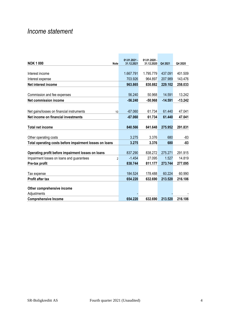## *Income statement*

|                                                             | $01.01.2021 -$ | $01.01.2020 -$ |           |           |
|-------------------------------------------------------------|----------------|----------------|-----------|-----------|
| <b>NOK 1000</b><br><b>Note</b>                              | 31.12.2021     | 31.12.2020     | Q4 2021   | Q4 2020   |
|                                                             |                |                |           |           |
| Interest income                                             | 1.667.791      | 1.795.779      | 437.091   | 401.509   |
| Interest expense                                            | 703.926        | 964.897        | 207.989   | 143.476   |
| Net interest income                                         | 963.865        | 830.882        | 229.102   | 258.033   |
|                                                             |                |                |           |           |
| Commission and fee expenses                                 | 56.240         | 50.968         | 14.591    | 13.242    |
| Net commission income                                       | $-56.240$      | $-50.968$      | $-14.591$ | $-13.242$ |
|                                                             |                |                |           |           |
| Net gains/losses on financial instruments<br>10             | $-67.060$      | 61.734         | 61.440    | 47.041    |
| Net income on financial investments                         | $-67.060$      | 61.734         | 61.440    | 47.041    |
|                                                             |                |                |           |           |
| <b>Total net income</b>                                     | 840.566        | 841.648        | 275.952   | 291.831   |
|                                                             |                |                |           |           |
| Other operating costs                                       | 3.275          | 3.376          | 680       | $-83$     |
| Total operating costs before impairment losses on loans     | 3.275          | 3.376          | 680       | $-83$     |
| Operating profit before impairment losses on loans          | 837.290        | 838.272        | 275.271   | 291.915   |
| Impairment losses on loans and guarantees<br>$\overline{2}$ | $-1.454$       | 27.095         | 1.527     | 14.819    |
| Pre-tax profit                                              | 838.744        | 811.177        | 273.744   | 277.095   |
|                                                             |                |                |           |           |
| Tax expense                                                 | 184.524        | 178.488        | 60.224    | 60.990    |
| <b>Profit after tax</b>                                     | 654.220        | 632.690        | 213.520   | 216.106   |
|                                                             |                |                |           |           |
| Other comprehensive income                                  |                |                |           |           |
| Adjustments                                                 |                |                |           |           |
| <b>Comprehensive Income</b>                                 | 654.220        | 632.690        | 213.520   | 216.106   |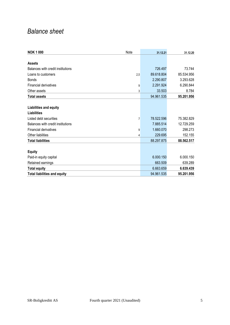# <span id="page-4-0"></span>*Balance sheet*

| <b>NOK 1000</b>                     | <b>Note</b>    | 31.12.21   | 31.12.20   |
|-------------------------------------|----------------|------------|------------|
|                                     |                |            |            |
| <b>Assets</b>                       |                |            |            |
| Balances with credit institutions   |                | 726.497    | 73.744     |
| Loans to customers                  | 2,5            | 89.618.804 | 85.534.956 |
| <b>Bonds</b>                        |                | 2.290.807  | 3.293.628  |
| <b>Financial derivatives</b>        | 9              | 2.291.924  | 6.290.844  |
| Other assets                        | 3              | 33.503     | 8.784      |
| <b>Total assets</b>                 |                | 94.961.535 | 95.201.956 |
|                                     |                |            |            |
| Liabilities and equity              |                |            |            |
| Liabilities                         |                |            |            |
| Listed debt securities              | $\overline{7}$ | 78.522.596 | 75.382.829 |
| Balances with credit institutions   |                | 7.885.514  | 12.729.259 |
| <b>Financial derivatives</b>        | 9              | 1.660.070  | 298.273    |
| Other liabilities                   | 4              | 229.695    | 152.155    |
| <b>Total liabilities</b>            |                | 88.297.875 | 88.562.517 |
|                                     |                |            |            |
| <b>Equity</b>                       |                |            |            |
| Paid-in equity capital              |                | 6.000.150  | 6.000.150  |
| Retained earnings                   |                | 663.509    | 639.289    |
| <b>Total equity</b>                 |                | 6.663.659  | 6.639.439  |
| <b>Total liabilities and equity</b> |                | 94.961.535 | 95.201.956 |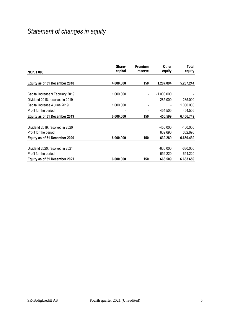# <span id="page-5-0"></span>*Statement of changes in equity*

| <b>NOK 1000</b>                  | Share-<br>capital | <b>Premium</b><br>reserve | <b>Other</b><br>equity | Total<br>equity |
|----------------------------------|-------------------|---------------------------|------------------------|-----------------|
|                                  |                   |                           |                        |                 |
| Equity as of 31 December 2018    | 4.000.000         | 150                       | 1.287.094              | 5.287.244       |
|                                  |                   |                           |                        |                 |
| Capital increase 9 February 2019 | 1.000.000         |                           | $-1.000.000$           |                 |
| Dividend 2018, resolved in 2019  |                   |                           | $-285.000$             | $-285.000$      |
| Capital increase 4 June 2019     | 1.000.000         |                           |                        | 1.000.000       |
| Profit for the period            |                   |                           | 454.505                | 454.505         |
| Equity as of 31 December 2019    | 6.000.000         | 150                       | 456.599                | 6.456.749       |
|                                  |                   |                           |                        |                 |
| Dividend 2019, resolved in 2020  |                   |                           | $-450.000$             | $-450.000$      |
| Profit for the period            |                   |                           | 632.690                | 632.690         |
| Equity as of 31 December 2020    | 6.000.000         | 150                       | 639.289                | 6.639.439       |
|                                  |                   |                           |                        |                 |
| Dividend 2020, resolved in 2021  |                   |                           | $-630.000$             | $-630.000$      |
| Profit for the period            |                   |                           | 654.220                | 654.220         |
| Equity as of 31 December 2021    | 6.000.000         | 150                       | 663.509                | 6.663.659       |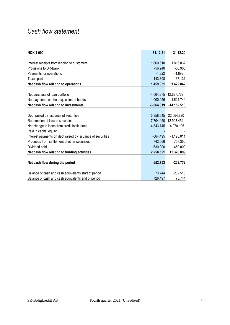# <span id="page-6-0"></span>*Cash flow statement*

| <b>NOK 1000</b>                                            | 31.12.21     | 31.12.20                  |
|------------------------------------------------------------|--------------|---------------------------|
|                                                            |              |                           |
| Interest receipts from lending to customers                | 1.660.510    | 1.815.832                 |
| Provisions to SR-Bank                                      | $-56.240$    | $-50.968$                 |
| Payments for operations                                    | $-1.822$     | $-4.893$                  |
| Taxes paid                                                 | $-143.398$   | $-137.131$                |
| Net cash flow relating to operations                       | 1.459.051    | 1.622.842                 |
|                                                            |              |                           |
| Net purchase of loan portfolio                             |              | $-4.064.875 - 12.627.769$ |
| Net payments on the acquisition of bonds                   | 1.000.056    | $-1.524.744$              |
| Net cash flow relating to investments                      | $-3.064.819$ | $-14.152.513$             |
|                                                            |              |                           |
| Debt raised by issuance of securities                      | 15.358.645   | 22.064.820                |
| Redemption of issued securities                            |              | -7.704.450 -12.993.454    |
| Net change in loans from credit institutions               | $-4.843.745$ | 4.070.195                 |
| Paid in capital equity                                     |              |                           |
| Interest payments on debt raised by issuance of securities | $-664.495$   | $-1.128.011$              |
| Proceeds from settlement of other securities               | 742.566      | 757.350                   |
| Dividend paid                                              | $-630.000$   | $-450.000$                |
| Net cash flow relating to funding activities               | 2.258.521    | 12.320.899                |
|                                                            |              |                           |
| Net cash flow during the period                            | 652.753      | $-208.772$                |
|                                                            |              |                           |
| Balance of cash and cash equivalents start of period       | 73.744       | 282.516                   |
| Balance of cash and cash equivalents end of period         | 726.497      | 73.744                    |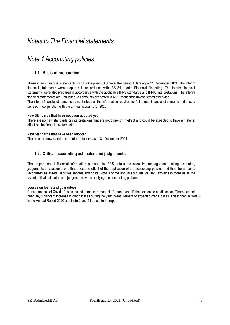## <span id="page-7-0"></span>*Notes to The Financial statements*

## <span id="page-7-1"></span>*Note 1 Accounting policies*

## **1.1. Basis of preparation**

These interim financial statements for SR-Boligkreditt AS cover the period 1 January – 31 December 2021. The interim financial statements were prepared in accordance with IAS 34 Interim Financial Reporting. The interim financial statements were also prepared in accordance with the applicable IFRS standards and IFRIC interpretations. The interim financial statements are unaudited. All amounts are stated in NOK thousands unless stated otherwise.

The interim financial statements do not include all the information required for full annual financial statements and should be read in conjunction with the annual accounts for 2020.

### **New Standards that have not been adopted yet**

There are no new standards or interpretations that are not currently in effect and could be expected to have a material effect on the financial statements.

### **New Standards that have been adopted**

There are no new standards or interpretations as of 31 December 2021.

### **1.2. Critical accounting estimates and judgements**

The preparation of financial information pursuant to IFRS entails the executive management making estimates, judgements and assumptions that affect the effect of the application of the accounting policies and thus the amounts recognized as assets, liabilities, income and costs. Note 3 of the annual accounts for 2020 explains in more detail the use of critical estimates and judgements when applying the accounting policies. **1.**

### **Losses on loans and guarantees**

Consequences of Covid-19 is assessed in measurement of 12-month and lifetime expected credit losses. There has not been any significant increase in credit losses during the year. Measurement of expected credit losses is described in Note 2 in the Annual Report 2020 and Note 2 and 5 in the interim report.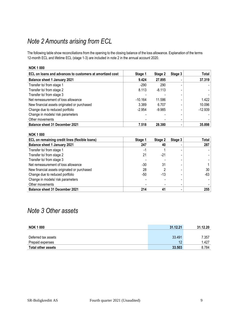# <span id="page-8-0"></span>*Note 2 Amounts arising from ECL*

The following table show reconciliations from the opening to the closing balance of the loss allowance. Explanation of the terms 12-month ECL and lifetime ECL (stage 1-3) are included in note 2 in the annual account 2020.

### **NOK 1 000**

| ECL on loans and advances to customers at amortized cost | Stage 1   | Stage 2  | Stage 3 | Total     |
|----------------------------------------------------------|-----------|----------|---------|-----------|
| <b>Balance sheet 1 January 2021</b>                      | 9.424     | 27.895   |         | 37.319    |
| Transfer to/ from stage 1                                | $-290$    | 290      |         |           |
| Transfer to/ from stage 2                                | 8.113     | $-8.113$ |         |           |
| Transfer to/ from stage 3                                |           |          |         |           |
| Net remeasurement of loss allowance                      | $-10.164$ | 11.586   |         | 1.422     |
| New financial assets originated or purchased             | 3.389     | 6.707    |         | 10.096    |
| Change due to reduced portfolio                          | $-2.954$  | $-9.985$ |         | $-12.939$ |
| Change in models/ risk parameters                        |           |          |         |           |
| Other movements                                          |           |          |         |           |
| <b>Balance sheet 31 December 2021</b>                    | 7.518     | 28.380   |         | 35.898    |

| <b>NOK 1000</b>                                |         |         |         |       |
|------------------------------------------------|---------|---------|---------|-------|
| ECL on remaining credit lines (flexible loans) | Stage 1 | Stage 2 | Stage 3 | Total |
| <b>Balance sheet 1 January 2021</b>            | 247     | 40      |         | 287   |
| Transfer to/ from stage 1                      | $-1$    |         |         |       |
| Transfer to/ from stage 2                      | 21      | -21     |         |       |
| Transfer to/ from stage 3                      |         |         |         |       |
| Net remeasurement of loss allowance            | -30     | 31      |         |       |
| New financial assets originated or purchased   | 28      |         |         | 30    |
| Change due to reduced portfolio                | -50     | -13     |         | -63   |
| Change in models/ risk parameters              |         |         |         |       |
| Other movements                                |         |         |         |       |
| <b>Balance sheet 31 December 2021</b>          | 214     | 41      |         | 255   |

## <span id="page-8-1"></span>*Note 3 Other assets*

| <b>NOK 1000</b>           | 31.12.21 | 31.12.20 |
|---------------------------|----------|----------|
|                           |          |          |
| Deferred tax assets       | 33.491   | 7.357    |
| Prepaid expenses          | 12       | 1.427    |
| <b>Total other assets</b> | 33,503   | 8.784    |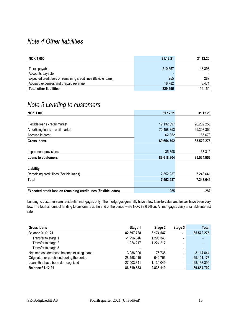## <span id="page-9-0"></span>*Note 4 Other liabilities*

| <b>NOK 1 000</b>                                                | 31.12.21 | 31.12.20 |
|-----------------------------------------------------------------|----------|----------|
|                                                                 |          |          |
| Taxes payable                                                   | 210.657  | 143.398  |
| Accounts payable                                                |          |          |
| Expected credit loss on remaining credit lines (flexible loans) | 255      | 287      |
| Accrued expenses and prepaid revenue                            | 18.782   | 8.471    |
| <b>Total other liabilities</b>                                  | 229,695  | 152.155  |

# <span id="page-9-1"></span>*Note 5 Lending to customers*

| <b>NOK 1000</b>                                                 | 31.12.21   | 31.12.20   |
|-----------------------------------------------------------------|------------|------------|
|                                                                 |            |            |
| Flexible loans - retail market                                  | 19.132.897 | 20.209.255 |
| Amortising loans - retail market                                | 70.458.853 | 65.307.350 |
| Accrued interest                                                | 62.952     | 55.670     |
| Gross Ioans                                                     | 89.654.702 | 85.572.275 |
|                                                                 |            |            |
| Impairment provisions                                           | $-35.898$  | $-37.319$  |
| Loans to customers                                              | 89.618.804 | 85.534.956 |
| Liability                                                       |            |            |
| Remaining credit lines (flexible loans)                         | 7.552.937  | 7.248.641  |
| <b>Total</b>                                                    | 7.552.937  | 7.248.641  |
|                                                                 |            |            |
| Expected credit loss on remaining credit lines (flexible loans) | $-255$     | $-287$     |

Lending to customers are residential mortgages only. The mortgages generally have a low loan-to-value and losses have been very low. The total amount of lending to customers at the end of the period were NOK 89,6 billion. All mortgages carry a variable interest rate.

| <b>Gross loans</b>                           | Stage 1       | Stage 2      | Stage 3 | <b>Total</b>  |
|----------------------------------------------|---------------|--------------|---------|---------------|
| Balance 01.01.21                             | 82.397.728    | 3.174.547    |         | 85.572.275    |
| Transfer to stage 1                          | $-1.296.346$  | 1.296.346    |         |               |
| Transfer to stage 2                          | 1.224.217     | $-1.224.217$ |         |               |
| Transfer to stage 3                          |               |              |         |               |
| Net increase/decrease balance existing loans | 3.038.906     | 75.738       |         | 3.114.644     |
| Originated or purchased during the period    | 28.458.419    | 642.753      |         | 29.101.173    |
| Loans that have been derecognised            | $-27.003.341$ | $-1.130.049$ |         | $-28.133.390$ |
| <b>Balance 31.12.21</b>                      | 86.819.583    | 2.835.119    |         | 89.654.702    |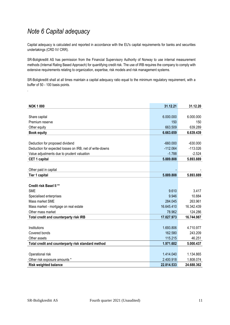# <span id="page-10-0"></span>*Note 6 Capital adequacy*

Capital adequacy is calculated and reported in accordance with the EU's capital requirements for banks and securities undertakings (CRD IV/ CRR).

SR-Boligkreditt AS has permission from the Financial Supervisory Authority of Norway to use internal measurement methods (Internal Rating Based Approach) for quantifying credit risk. The use of IRB requires the company to comply with extensive requirements relating to organization, expertise, risk models and risk management systems.

SR-Boligkreditt shall at all times maintain a capital adequacy ratio equal to the minimum regulatory requirement, with a buffer of 50 - 100 basis points. . **1.**

| <b>NOK 1000</b>                                          | 31.12.21   | 31.12.20   |
|----------------------------------------------------------|------------|------------|
|                                                          |            |            |
| Share capital                                            | 6.000.000  | 6.000.000  |
| Premium reserve                                          | 150        | 150        |
| Other equity                                             | 663.509    | 639.289    |
| <b>Book equity</b>                                       | 6.663.659  | 6.639.439  |
|                                                          |            |            |
| Deduction for proposed dividend                          | $-660.000$ | $-630.000$ |
| Deduction for expected losses on IRB, net of write-downs | $-112.064$ | $-113.026$ |
| Value adjustments due to prudent valuation               | $-1.788$   | $-2.524$   |
| CET 1 capital                                            | 5.889.808  | 5.893.889  |
|                                                          |            |            |
| Other paid in capital                                    |            |            |
| Tier 1 capital                                           | 5.889.808  | 5.893.889  |
|                                                          |            |            |
| <b>Credit risk Basel II **</b>                           |            |            |
| <b>SME</b>                                               | 9.610      | 3.417      |
| Specialised enterprises                                  | 9.946      | 10.884     |
| Mass market SME                                          | 284.045    | 263.961    |
| Mass market - mortgage on real estate                    | 16.645.410 | 16.342.439 |
| Other mass market                                        | 78.962     | 124.286    |
| Total credit and counterparty risk IRB                   | 17.027.973 | 16.744.987 |
|                                                          |            |            |
| Institutions                                             | 1.693.806  | 4.710.977  |
| Covered bonds                                            | 162.580    | 243.209    |
| Other assets                                             | 115.215    | 46.251     |
| Total credit and counterparty risk standard method       | 1.971.602  | 5.000.437  |
|                                                          |            |            |
| Operational risk                                         | 1.414.040  | 1.134.865  |
| Other risk exposure amounts *                            | 2.400.918  | 1.808.074  |
| <b>Risk weighted balance</b>                             | 22.814.533 | 24.688.362 |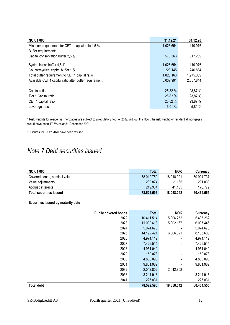| <b>NOK 1000</b>                                        | 31.12.21  | 31.12.20  |
|--------------------------------------------------------|-----------|-----------|
| Minimum requirement for CET 1 capital ratio 4,5 %      | 1.026.654 | 1.110.976 |
| Buffer requirements:                                   |           |           |
| Capital conservation buffer 2,5 %                      | 570.363   | 617.209   |
| Systemic risk buffer 4,5 %                             | 1.026.654 | 1.110.976 |
| Countercyclical capital buffer 1 %                     | 228.145   | 246.884   |
| Total buffer requirement to CET 1 capital ratio        | 1.825.163 | 1.975.069 |
| Available CET 1 capital ratio after buffer requirement | 3.037.991 | 2.807.844 |
|                                                        |           |           |
| Capital ratio                                          | 25,82 %   | 23,87 %   |
| Tier 1 Capital ratio                                   | 25,82 %   | 23,87 %   |
| CET 1 capital ratio                                    | 25,82 %   | 23,87 %   |
| Leverage ratio                                         | 6,01%     | 5,85 %    |

\* Risk weights for residential mortgages are subject to a regulatory floor of 20%. Without this floor, the risk weight for residential mortgages would have been 17.5% as at 31 December 2021.

\*\* Figures for 31.12.2020 have been revised.

# <span id="page-11-0"></span>*Note 7 Debt securities issued*

| <b>NOK 1 000</b>               | Total      | NOK        | Currency   |
|--------------------------------|------------|------------|------------|
| Covered bonds, nominal value   | 78.012.759 | 18.018.021 | 59.994.737 |
| Value adjustments              | 289.874    | $-1.165$   | 291.038    |
| Accrued interests              | 219.964    | 41.185     | 178.779    |
| <b>Total securities issued</b> | 78.522.596 | 18.058.042 | 60.464.555 |

### **Securities issued by maturity date**

|                   | <b>Public covered bonds</b> | <b>Total</b> | <b>NOK</b> | Currency   |
|-------------------|-----------------------------|--------------|------------|------------|
|                   | 2022                        | 10.411.514   | 5.006.252  | 5.405.262  |
|                   | 2023                        | 11.099.613   | 5.002.167  | 6.097.446  |
|                   | 2024                        | 5.074.673    |            | 5.074.673  |
|                   | 2025                        | 14.192.421   | 6.006.821  | 8.185.600  |
|                   | 2026                        | 4.974.112    |            | 4.974.112  |
|                   | 2027                        | 7.426.514    |            | 7.426.514  |
|                   | 2028                        | 4.951.042    |            | 4.951.042  |
|                   | 2029                        | 159.078      |            | 159.078    |
|                   | 2030                        | 4.888.098    |            | 4.888.098  |
|                   | 2031                        | 9.831.982    |            | 9.831.982  |
|                   | 2032                        | 2.042.802    | 2.042.802  |            |
|                   | 2038                        | 3.244.916    |            | 3.244.916  |
|                   | 2041                        | 225.831      |            | 225.831    |
| <b>Total debt</b> |                             | 78.522.596   | 18.058.042 | 60.464.555 |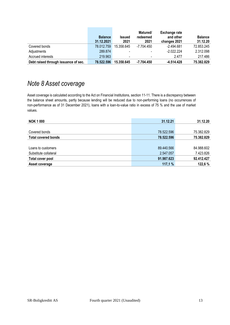|                                      | <b>Balance</b><br>31.12.2021 | <b>Issued</b><br>2021    | Matured/<br>redeemed<br>2021 | <b>Exchange rate</b><br>and other<br>changes 2021 | <b>Balance</b><br>31.12.20 |
|--------------------------------------|------------------------------|--------------------------|------------------------------|---------------------------------------------------|----------------------------|
| Covered bonds                        | 78.012.759                   | 15.358.645               | -7.704.450                   | $-2.494.681$                                      | 72.853.245                 |
| Adjustments                          | 289.874                      | $\overline{\phantom{a}}$ | $\overline{\phantom{a}}$     | $-2.022.224$                                      | 2.312.098                  |
| Accrued interests                    | 219.963                      | $\overline{\phantom{a}}$ |                              | 2.477                                             | 217.486                    |
| Debt raised through issuance of sec. | 78.522.596                   | 15.358.645               | $-7.704.450$                 | $-4.514.428$                                      | 75.382.829                 |

# <span id="page-12-0"></span>*Note 8 Asset coverage*

Asset coverage is calculated according to the Act on Financial Institutions, section 11-11. There is a discrepancy between the balance sheet amounts, partly because lending will be reduced due to non-performing loans (no occurrences of non-performance as of 31 December 2021), loans with a loan-to-value ratio in excess of 75 % and the use of market values. **1.**

| <b>NOK 1000</b>            | 31.12.21   | 31.12.20   |
|----------------------------|------------|------------|
|                            |            |            |
| Covered bonds              | 78.522.596 | 75.382.829 |
| <b>Total covered bonds</b> | 78.522.596 | 75.382.829 |
|                            |            |            |
| Loans to customers         | 89.440.566 | 84.988.602 |
| Substitute collateral      | 2.547.057  | 7.423.826  |
| Total cover pool           | 91.987.623 | 92.412.427 |
| Asset coverage             | 117,1%     | 122,6%     |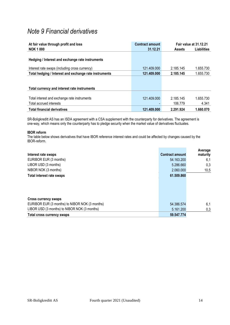## <span id="page-13-0"></span>*Note 9 Financial derivatives*

| At fair value through profit and loss                  | <b>Contract amount</b> |               | Fair value at 31.12.21 |
|--------------------------------------------------------|------------------------|---------------|------------------------|
| <b>NOK 1000</b>                                        | 31.12.21               | <b>Assets</b> | <b>Liabilities</b>     |
|                                                        |                        |               |                        |
| Hedging / Interest and exchange rate instruments       |                        |               |                        |
|                                                        |                        |               |                        |
| Interest rate swaps (including cross currency)         | 121.409.000            | 2.185.145     | 1.655.730              |
| Total hedging / Interest and exchange rate instruments | 121.409.000            | 2.185.145     | 1.655.730              |
|                                                        |                        |               |                        |
|                                                        |                        |               |                        |
| Total currency and interest rate instruments           |                        |               |                        |
|                                                        |                        |               |                        |
| Total interest and exchange rate instruments           | 121.409.000            | 2.185.145     | 1.655.730              |
| Total accrued interests                                |                        | 106.779       | 4.341                  |
| <b>Total financial derivatives</b>                     | 121.409.000            | 2.291.924     | 1.660.070              |

SR-Boligkreditt AS has an ISDA agreement with a CSA supplement with the counterparty for derivatives. The agreement is one-way, which means only the counterparty has to pledge security when the market value of derivatives fluctuates.

### **IBOR reform**

The table below shows derivatives that have IBOR reference interest rates and could be affected by changes caused by the IBOR-reform.

|                                                |                        | Average  |
|------------------------------------------------|------------------------|----------|
| Interest rate swaps                            | <b>Contract amount</b> | maturity |
| EURIBOR EUR (3 months)                         | 54.163.200             | 6,1      |
| LIBOR USD (3 months)                           | 5.286.660              | 0,3      |
| NIBOR NOK (3 months)                           | 2.060.000              | 10,5     |
| <b>Total interest rate swaps</b>               | 61.509.860             |          |
|                                                |                        |          |
|                                                |                        |          |
|                                                |                        |          |
| <b>Cross currency swaps</b>                    |                        |          |
| EURIBOR EUR (3 months) to NIBOR NOK (3 months) | 54.386.574             | 6,1      |
| LIBOR USD (3 months) to NIBOR NOK (3 months)   | 5.161.200              | 0,3      |
| Total cross currency swaps                     | 59.547.774             |          |